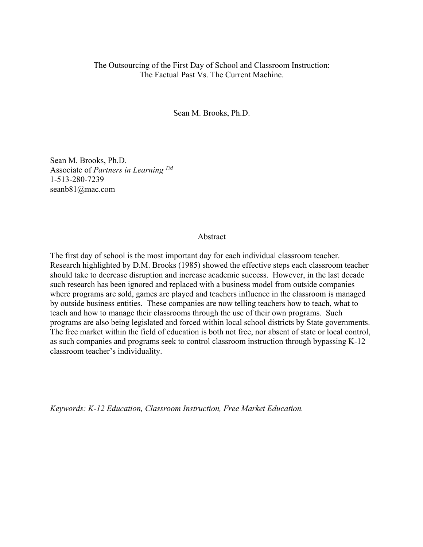## The Outsourcing of the First Day of School and Classroom Instruction: The Factual Past Vs. The Current Machine.

Sean M. Brooks, Ph.D.

Sean M. Brooks, Ph.D. Associate of *Partners in Learning TM* 1-513-280-7239 seanb81@mac.com

## Abstract

The first day of school is the most important day for each individual classroom teacher. Research highlighted by D.M. Brooks (1985) showed the effective steps each classroom teacher should take to decrease disruption and increase academic success. However, in the last decade such research has been ignored and replaced with a business model from outside companies where programs are sold, games are played and teachers influence in the classroom is managed by outside business entities. These companies are now telling teachers how to teach, what to teach and how to manage their classrooms through the use of their own programs. Such programs are also being legislated and forced within local school districts by State governments. The free market within the field of education is both not free, nor absent of state or local control, as such companies and programs seek to control classroom instruction through bypassing K-12 classroom teacher's individuality.

*Keywords: K-12 Education, Classroom Instruction, Free Market Education.*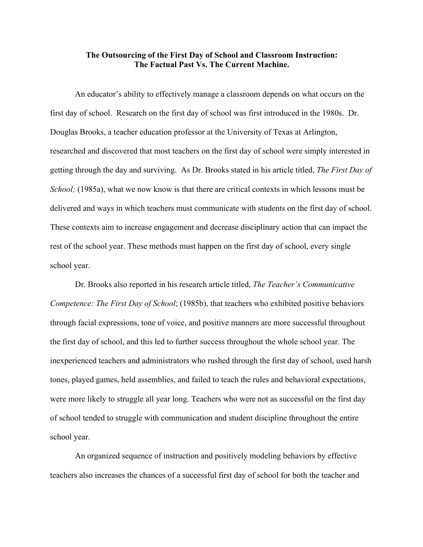## **The Outsourcing of the First Day of School and Classroom Instruction: The Factual Past Vs. The Current Machine.**

An educator's ability to effectively manage a classroom depends on what occurs on the first day of school. Research on the first day of school was first introduced in the 1980s. Dr. Douglas Brooks, a teacher education professor at the University of Texas at Arlington, researched and discovered that most teachers on the first day of school were simply interested in getting through the day and surviving. As Dr. Brooks stated in his article titled, *The First Day of School;* (1985a), what we now know is that there are critical contexts in which lessons must be delivered and ways in which teachers must communicate with students on the first day of school. These contexts aim to increase engagement and decrease disciplinary action that can impact the rest of the school year. These methods must happen on the first day of school, every single school year.

Dr. Brooks also reported in his research article titled, *The Teacher's Communicative Competence: The First Day of School*; (1985b), that teachers who exhibited positive behaviors through facial expressions, tone of voice, and positive manners are more successful throughout the first day of school, and this led to further success throughout the whole school year. The inexperienced teachers and administrators who rushed through the first day of school, used harsh tones, played games, held assemblies, and failed to teach the rules and behavioral expectations, were more likely to struggle all year long. Teachers who were not as successful on the first day of school tended to struggle with communication and student discipline throughout the entire school year.

An organized sequence of instruction and positively modeling behaviors by effective teachers also increases the chances of a successful first day of school for both the teacher and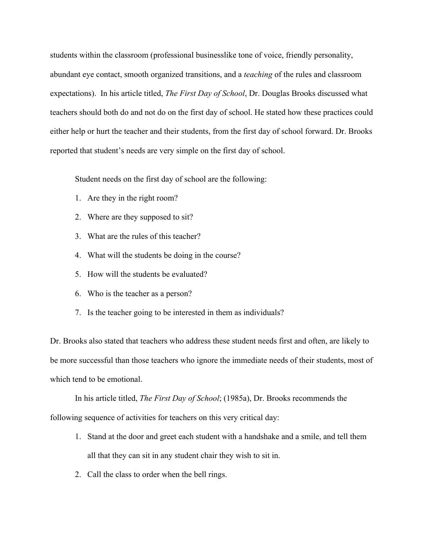students within the classroom (professional businesslike tone of voice, friendly personality, abundant eye contact, smooth organized transitions, and a *teaching* of the rules and classroom expectations). In his article titled, *The First Day of School*, Dr. Douglas Brooks discussed what teachers should both do and not do on the first day of school. He stated how these practices could either help or hurt the teacher and their students, from the first day of school forward. Dr. Brooks reported that student's needs are very simple on the first day of school.

Student needs on the first day of school are the following:

- 1. Are they in the right room?
- 2. Where are they supposed to sit?
- 3. What are the rules of this teacher?
- 4. What will the students be doing in the course?
- 5. How will the students be evaluated?
- 6. Who is the teacher as a person?
- 7. Is the teacher going to be interested in them as individuals?

Dr. Brooks also stated that teachers who address these student needs first and often, are likely to be more successful than those teachers who ignore the immediate needs of their students, most of which tend to be emotional.

In his article titled, *The First Day of School*; (1985a), Dr. Brooks recommends the following sequence of activities for teachers on this very critical day:

- 1. Stand at the door and greet each student with a handshake and a smile, and tell them all that they can sit in any student chair they wish to sit in.
- 2. Call the class to order when the bell rings.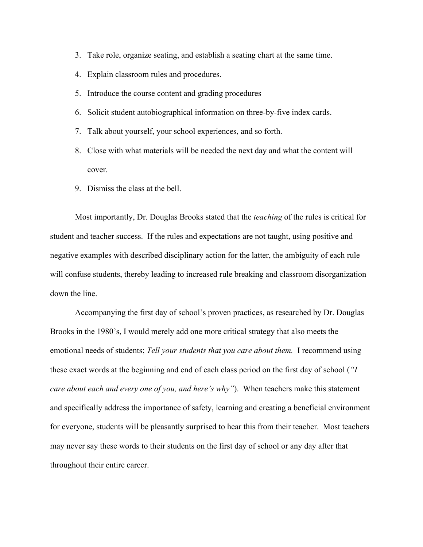- 3. Take role, organize seating, and establish a seating chart at the same time.
- 4. Explain classroom rules and procedures.
- 5. Introduce the course content and grading procedures
- 6. Solicit student autobiographical information on three-by-five index cards.
- 7. Talk about yourself, your school experiences, and so forth.
- 8. Close with what materials will be needed the next day and what the content will cover.
- 9. Dismiss the class at the bell.

Most importantly, Dr. Douglas Brooks stated that the *teaching* of the rules is critical for student and teacher success. If the rules and expectations are not taught, using positive and negative examples with described disciplinary action for the latter, the ambiguity of each rule will confuse students, thereby leading to increased rule breaking and classroom disorganization down the line.

Accompanying the first day of school's proven practices, as researched by Dr. Douglas Brooks in the 1980's, I would merely add one more critical strategy that also meets the emotional needs of students; *Tell your students that you care about them.* I recommend using these exact words at the beginning and end of each class period on the first day of school (*"I care about each and every one of you, and here's why"*). When teachers make this statement and specifically address the importance of safety, learning and creating a beneficial environment for everyone, students will be pleasantly surprised to hear this from their teacher. Most teachers may never say these words to their students on the first day of school or any day after that throughout their entire career.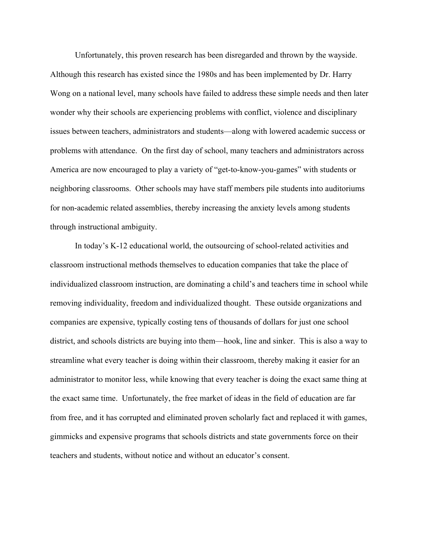Unfortunately, this proven research has been disregarded and thrown by the wayside. Although this research has existed since the 1980s and has been implemented by Dr. Harry Wong on a national level, many schools have failed to address these simple needs and then later wonder why their schools are experiencing problems with conflict, violence and disciplinary issues between teachers, administrators and students—along with lowered academic success or problems with attendance. On the first day of school, many teachers and administrators across America are now encouraged to play a variety of "get-to-know-you-games" with students or neighboring classrooms. Other schools may have staff members pile students into auditoriums for non-academic related assemblies, thereby increasing the anxiety levels among students through instructional ambiguity.

In today's K-12 educational world, the outsourcing of school-related activities and classroom instructional methods themselves to education companies that take the place of individualized classroom instruction, are dominating a child's and teachers time in school while removing individuality, freedom and individualized thought. These outside organizations and companies are expensive, typically costing tens of thousands of dollars for just one school district, and schools districts are buying into them—hook, line and sinker. This is also a way to streamline what every teacher is doing within their classroom, thereby making it easier for an administrator to monitor less, while knowing that every teacher is doing the exact same thing at the exact same time. Unfortunately, the free market of ideas in the field of education are far from free, and it has corrupted and eliminated proven scholarly fact and replaced it with games, gimmicks and expensive programs that schools districts and state governments force on their teachers and students, without notice and without an educator's consent.